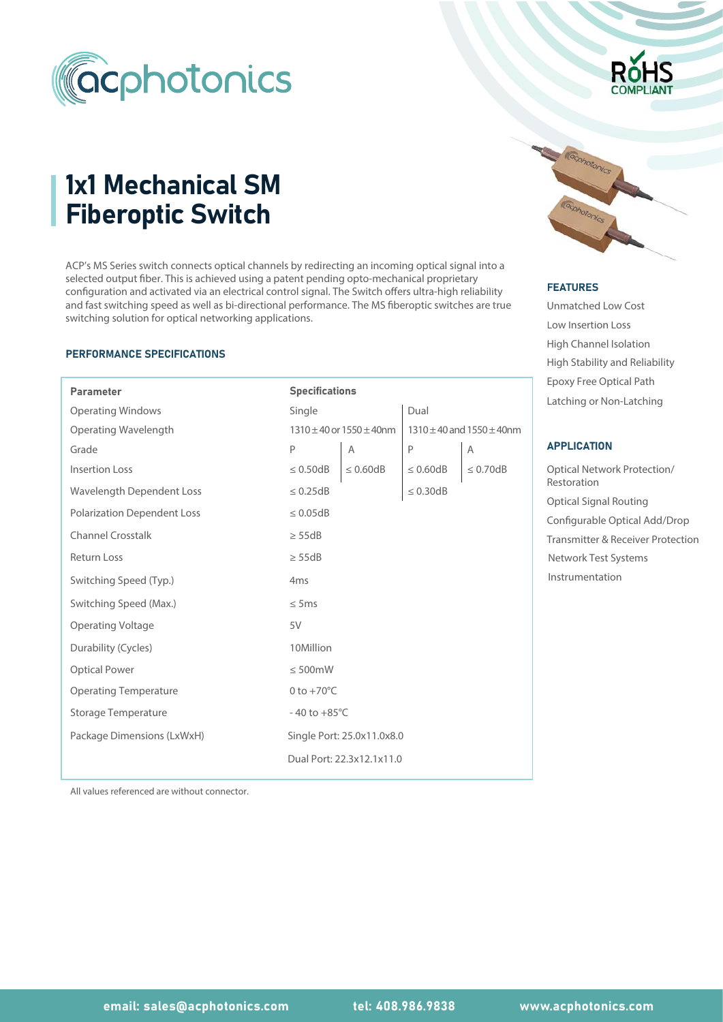

# 1x1 Mechanical SM Fiberoptic Switch

ACP's MS Series switch connects optical channels by redirecting an incoming optical signal into a selected output fiber. This is achieved using a patent pending opto-mechanical proprietary ACP's MS Series switch connects optical channels by redirecting an incoming optical signal into a<br>selected output fiber. This is achieved using a patent pending opto-mechanical proprietary<br>configuration and activated via a and fast switching speed as well as bi-directional performance. The MS fiberoptic switches are true switching solution for optical networking applications.

#### PERFORMANCE SPECIFICATIONS

I

| <b>Parameter</b>                   | <b>Specifications</b>             |                            |                                      |                | Epoxy Free Optical Path          |  |
|------------------------------------|-----------------------------------|----------------------------|--------------------------------------|----------------|----------------------------------|--|
| <b>Operating Windows</b>           | Single                            |                            | Dual                                 |                | Latching or Non-Latching         |  |
| Operating Wavelength               | $1310 \pm 40$ or $1550 \pm 40$ nm |                            | $1310 \pm 40$ and $1550 \pm 40$ nm   |                |                                  |  |
| Grade                              | $\mathsf P$                       | Α                          | P                                    | Α              | <b>APPLICATION</b>               |  |
| <b>Insertion Loss</b>              | $\leq 0.50dB$                     | $\leq 0.60$ dB             | $\leq 0.60$ dB                       | $\leq 0.70$ dB | <b>Optical Network Protectio</b> |  |
| Wavelength Dependent Loss          | $\leq 0.25dB$                     |                            | $\leq$ 0.30dB                        |                | Restoration                      |  |
| <b>Polarization Dependent Loss</b> | $\leq 0.05$ dB                    |                            |                                      |                | <b>Optical Signal Routing</b>    |  |
|                                    |                                   |                            | Configurable Optical Add             |                |                                  |  |
| <b>Channel Crosstalk</b>           | $\geq$ 55dB                       |                            | <b>Transmitter &amp; Receiver Pr</b> |                |                                  |  |
| <b>Return Loss</b>                 | $\geq$ 55dB                       |                            | Network Test Systems                 |                |                                  |  |
| Switching Speed (Typ.)             | 4 <sub>ms</sub>                   |                            | Instrumentation                      |                |                                  |  |
| Switching Speed (Max.)             | $\leq$ 5ms                        |                            |                                      |                |                                  |  |
| <b>Operating Voltage</b>           | 5V                                |                            |                                      |                |                                  |  |
| Durability (Cycles)                | 10Million                         |                            |                                      |                |                                  |  |
| <b>Optical Power</b>               | $\leq 500$ mW                     |                            |                                      |                |                                  |  |
| <b>Operating Temperature</b>       | 0 to $+70^{\circ}$ C              |                            |                                      |                |                                  |  |
| <b>Storage Temperature</b>         | $-40$ to $+85^{\circ}$ C          |                            |                                      |                |                                  |  |
| Package Dimensions (LxWxH)         |                                   | Single Port: 25.0x11.0x8.0 |                                      |                |                                  |  |
|                                    |                                   | Dual Port: 22.3x12.1x11.0  |                                      |                |                                  |  |
|                                    |                                   |                            |                                      |                |                                  |  |

#### **FEATURES**

Unmatched Low Cost Low Insertion Loss High Channel Isolation H Epoxy Free Optical Path High Stability and Reliability

## APPLICATION

Optical Signal Routing Optical Network Protection/ Restoration Configurable Optical Add/Drop Transmitter & Receiver Protection Instrumentation Network Test Systems

All values referenced are without connector.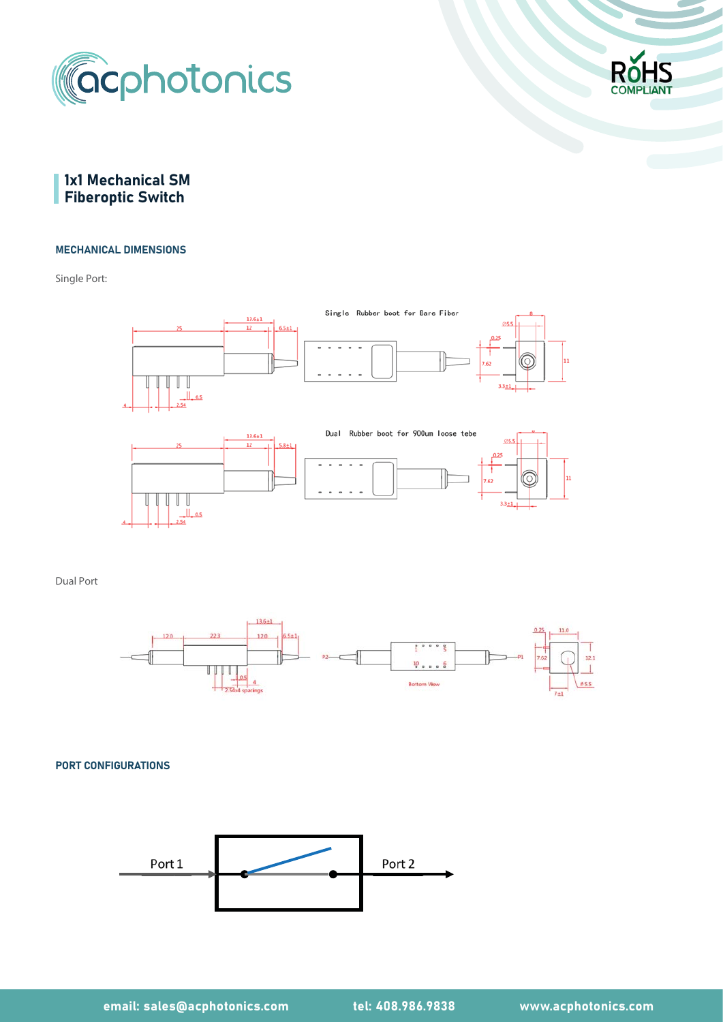



# 1x1 Mechanical SM **Fiberoptic Switch**

#### MECHANICAL DIMENSIONS

Single Port:



Dual Port



PORT CONFIGURATIONS